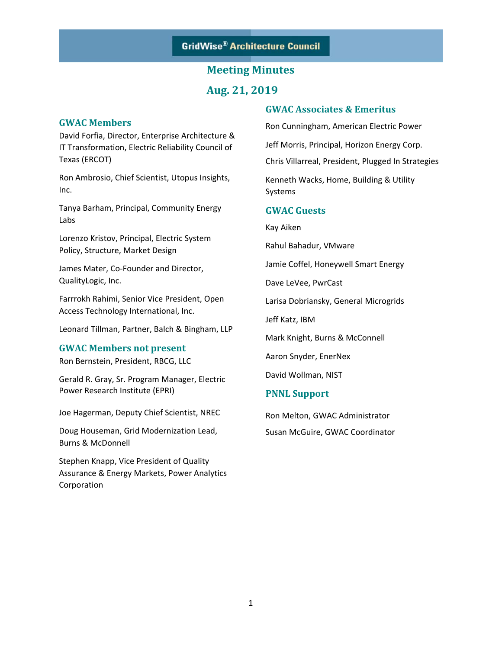**Aug. 21, 2019** 

### **GWAC Members**

David Forfia, Director, Enterprise Architecture & IT Transformation, Electric Reliability Council of Texas (ERCOT)

Ron Ambrosio, Chief Scientist, Utopus Insights, Inc.

Tanya Barham, Principal, Community Energy Labs

Lorenzo Kristov, Principal, Electric System Policy, Structure, Market Design

James Mater, Co‐Founder and Director, QualityLogic, Inc.

Farrrokh Rahimi, Senior Vice President, Open Access Technology International, Inc.

Leonard Tillman, Partner, Balch & Bingham, LLP

#### **GWAC Members not present**

Ron Bernstein, President, RBCG, LLC

Gerald R. Gray, Sr. Program Manager, Electric Power Research Institute (EPRI)

Joe Hagerman, Deputy Chief Scientist, NREC

Doug Houseman, Grid Modernization Lead, Burns & McDonnell

Stephen Knapp, Vice President of Quality Assurance & Energy Markets, Power Analytics Corporation

### **GWAC Associates & Emeritus**

Ron Cunningham, American Electric Power

Jeff Morris, Principal, Horizon Energy Corp.

Chris Villarreal, President, Plugged In Strategies

Kenneth Wacks, Home, Building & Utility Systems

#### **GWAC Guests**

Kay Aiken

Rahul Bahadur, VMware

Jamie Coffel, Honeywell Smart Energy

Dave LeVee, PwrCast

Larisa Dobriansky, General Microgrids

Jeff Katz, IBM

Mark Knight, Burns & McConnell

Aaron Snyder, EnerNex

David Wollman, NIST

#### **PNNL Support**

Ron Melton, GWAC Administrator Susan McGuire, GWAC Coordinator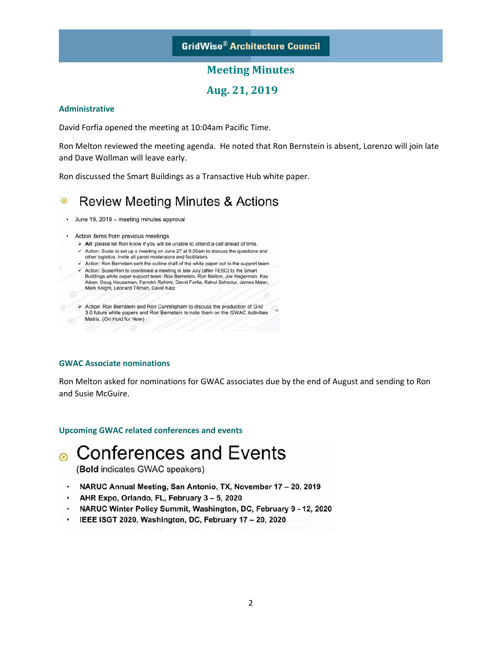### **Aug. 21, 2019**

#### **Administrative**

David Forfia opened the meeting at 10:04am Pacific Time.

Ron Melton reviewed the meeting agenda. He noted that Ron Bernstein is absent, Lorenzo will join late and Dave Wollman will leave early.

Ron discussed the Smart Buildings as a Transactive Hub white paper.

#### **Review Meeting Minutes & Actions**  $\odot$

- · June 19, 2019 meeting minutes approval
- Action items from previous meetings
	- > All: please let Ron know if you will be unable to attend a call ahead of time.
	- ← Action: Susie to set up a meeting on June 27 at 8:00am to discuss the questions and other logistics. Invite all panel moderators and facilitators
	- $\checkmark$  Action: Ron Bernstein sent the outline draft of the white paper out to the support team √ Action: Susie/Ron to coordinate a meeting in late July (after TESC) to the Smart
	- Buildings white paper support team: Ron Bernstein, Ron Melton, Joe Hagerman, Kay Aiken, Doug Houseman, Farrokh Rahimi, David Forfia, Rahul Bahadur, James Mater, Mark Knight, Leonard Tillman, David Katz
	- > Action: Ron Bernstein and Ron Cunningham to discuss the production of Grid 3.0 future white papers and Ron Bernstein to note them on the GWAC Activities Matrix. (On Hold for Now)

#### **GWAC Associate nominations**

Ron Melton asked for nominations for GWAC associates due by the end of August and sending to Ron and Susie McGuire.

#### **Upcoming GWAC related conferences and events**

# • Conferences and Events

(Bold indicates GWAC speakers)

- NARUC Annual Meeting, San Antonio, TX, November 17 20, 2019
- AHR Expo, Orlando, FL, February 3 5, 2020
- NARUC Winter Policy Summit, Washington, DC, February 9 12, 2020
- IEEE ISGT 2020, Washington, DC, February 17 20, 2020  $\bullet$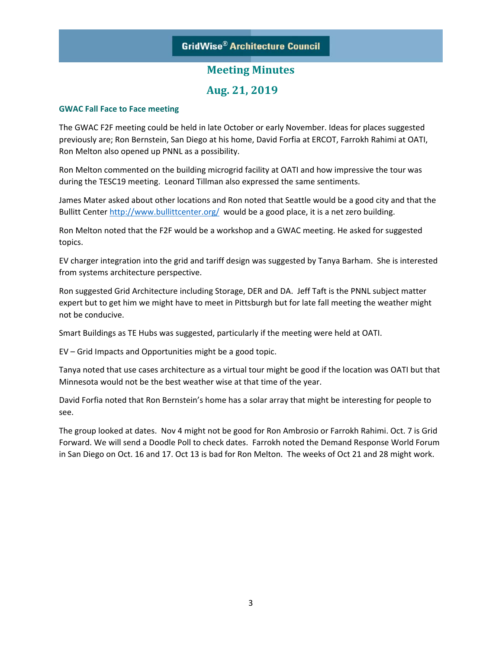### **Aug. 21, 2019**

#### **GWAC Fall Face to Face meeting**

The GWAC F2F meeting could be held in late October or early November. Ideas for places suggested previously are; Ron Bernstein, San Diego at his home, David Forfia at ERCOT, Farrokh Rahimi at OATI, Ron Melton also opened up PNNL as a possibility.

Ron Melton commented on the building microgrid facility at OATI and how impressive the tour was during the TESC19 meeting. Leonard Tillman also expressed the same sentiments.

James Mater asked about other locations and Ron noted that Seattle would be a good city and that the Bullitt Center http://www.bullittcenter.org/ would be a good place, it is a net zero building.

Ron Melton noted that the F2F would be a workshop and a GWAC meeting. He asked for suggested topics.

EV charger integration into the grid and tariff design was suggested by Tanya Barham. She is interested from systems architecture perspective.

Ron suggested Grid Architecture including Storage, DER and DA. Jeff Taft is the PNNL subject matter expert but to get him we might have to meet in Pittsburgh but for late fall meeting the weather might not be conducive.

Smart Buildings as TE Hubs was suggested, particularly if the meeting were held at OATI.

EV – Grid Impacts and Opportunities might be a good topic.

Tanya noted that use cases architecture as a virtual tour might be good if the location was OATI but that Minnesota would not be the best weather wise at that time of the year.

David Forfia noted that Ron Bernstein's home has a solar array that might be interesting for people to see.

The group looked at dates. Nov 4 might not be good for Ron Ambrosio or Farrokh Rahimi. Oct. 7 is Grid Forward. We will send a Doodle Poll to check dates. Farrokh noted the Demand Response World Forum in San Diego on Oct. 16 and 17. Oct 13 is bad for Ron Melton. The weeks of Oct 21 and 28 might work.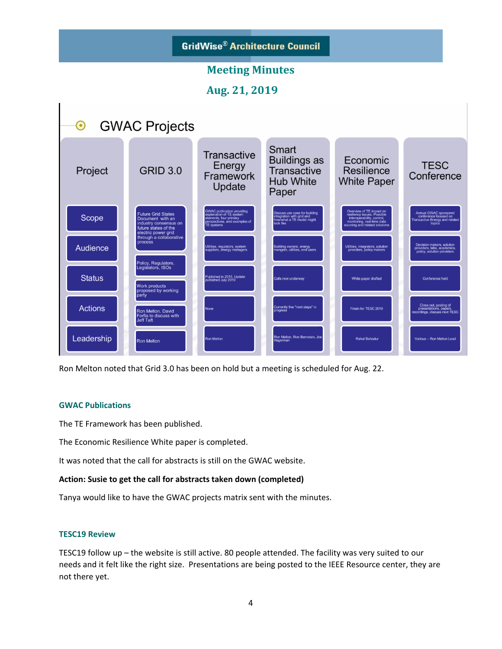

Ron Melton noted that Grid 3.0 has been on hold but a meeting is scheduled for Aug. 22.

#### **GWAC Publications**

The TE Framework has been published.

The Economic Resilience White paper is completed.

It was noted that the call for abstracts is still on the GWAC website.

#### **Action: Susie to get the call for abstracts taken down (completed)**

Tanya would like to have the GWAC projects matrix sent with the minutes.

#### **TESC19 Review**

TESC19 follow up – the website is still active. 80 people attended. The facility was very suited to our needs and it felt like the right size. Presentations are being posted to the IEEE Resource center, they are not there yet.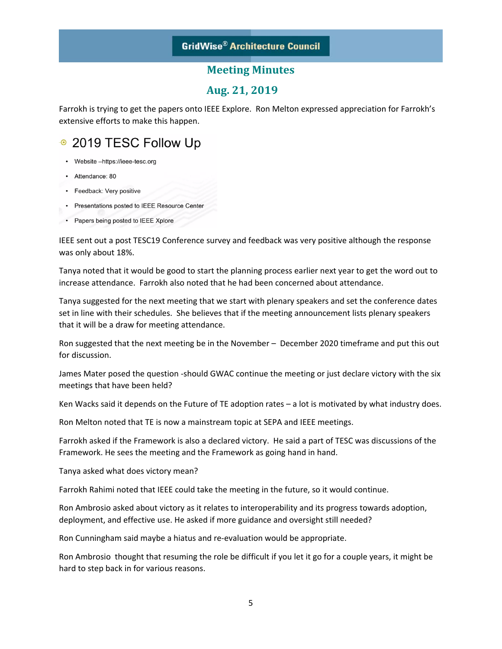### **Aug. 21, 2019**

Farrokh is trying to get the papers onto IEEE Explore. Ron Melton expressed appreciation for Farrokh's extensive efforts to make this happen.

# ● 2019 TESC Follow Up

- Website -https://ieee-tesc.org
- · Attendance: 80
- Feedback: Very positive
- Presentations posted to IEEE Resource Center
- Papers being posted to IEEE Xplore

IEEE sent out a post TESC19 Conference survey and feedback was very positive although the response was only about 18%.

Tanya noted that it would be good to start the planning process earlier next year to get the word out to increase attendance. Farrokh also noted that he had been concerned about attendance.

Tanya suggested for the next meeting that we start with plenary speakers and set the conference dates set in line with their schedules. She believes that if the meeting announcement lists plenary speakers that it will be a draw for meeting attendance.

Ron suggested that the next meeting be in the November – December 2020 timeframe and put this out for discussion.

James Mater posed the question ‐should GWAC continue the meeting or just declare victory with the six meetings that have been held?

Ken Wacks said it depends on the Future of TE adoption rates – a lot is motivated by what industry does.

Ron Melton noted that TE is now a mainstream topic at SEPA and IEEE meetings.

Farrokh asked if the Framework is also a declared victory. He said a part of TESC was discussions of the Framework. He sees the meeting and the Framework as going hand in hand.

Tanya asked what does victory mean?

Farrokh Rahimi noted that IEEE could take the meeting in the future, so it would continue.

Ron Ambrosio asked about victory as it relates to interoperability and its progress towards adoption, deployment, and effective use. He asked if more guidance and oversight still needed?

Ron Cunningham said maybe a hiatus and re‐evaluation would be appropriate.

Ron Ambrosio thought that resuming the role be difficult if you let it go for a couple years, it might be hard to step back in for various reasons.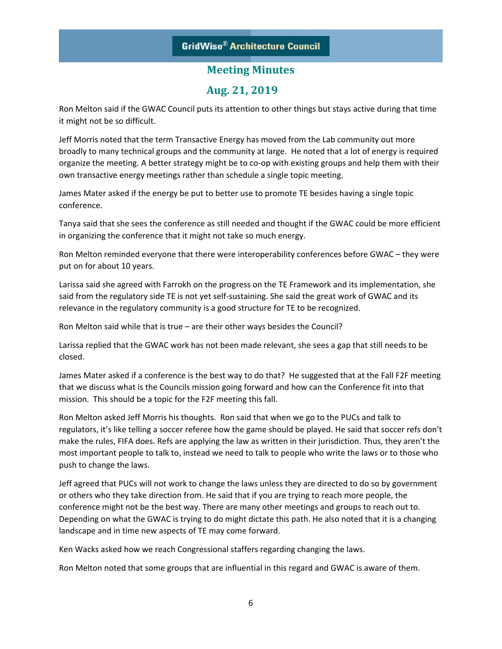### **Aug. 21, 2019**

Ron Melton said if the GWAC Council puts its attention to other things but stays active during that time it might not be so difficult.

Jeff Morris noted that the term Transactive Energy has moved from the Lab community out more broadly to many technical groups and the community at large. He noted that a lot of energy is required organize the meeting. A better strategy might be to co‐op with existing groups and help them with their own transactive energy meetings rather than schedule a single topic meeting.

James Mater asked if the energy be put to better use to promote TE besides having a single topic conference.

Tanya said that she sees the conference as still needed and thought if the GWAC could be more efficient in organizing the conference that it might not take so much energy.

Ron Melton reminded everyone that there were interoperability conferences before GWAC – they were put on for about 10 years.

Larissa said she agreed with Farrokh on the progress on the TE Framework and its implementation, she said from the regulatory side TE is not yet self-sustaining. She said the great work of GWAC and its relevance in the regulatory community is a good structure for TE to be recognized.

Ron Melton said while that is true – are their other ways besides the Council?

Larissa replied that the GWAC work has not been made relevant, she sees a gap that still needs to be closed.

James Mater asked if a conference is the best way to do that? He suggested that at the Fall F2F meeting that we discuss what is the Councils mission going forward and how can the Conference fit into that mission. This should be a topic for the F2F meeting this fall.

Ron Melton asked Jeff Morris his thoughts. Ron said that when we go to the PUCs and talk to regulators, it's like telling a soccer referee how the game should be played. He said that soccer refs don't make the rules, FIFA does. Refs are applying the law as written in their jurisdiction. Thus, they aren't the most important people to talk to, instead we need to talk to people who write the laws or to those who push to change the laws.

Jeff agreed that PUCs will not work to change the laws unless they are directed to do so by government or others who they take direction from. He said that if you are trying to reach more people, the conference might not be the best way. There are many other meetings and groups to reach out to. Depending on what the GWAC is trying to do might dictate this path. He also noted that it is a changing landscape and in time new aspects of TE may come forward.

Ken Wacks asked how we reach Congressional staffers regarding changing the laws.

Ron Melton noted that some groups that are influential in this regard and GWAC is aware of them.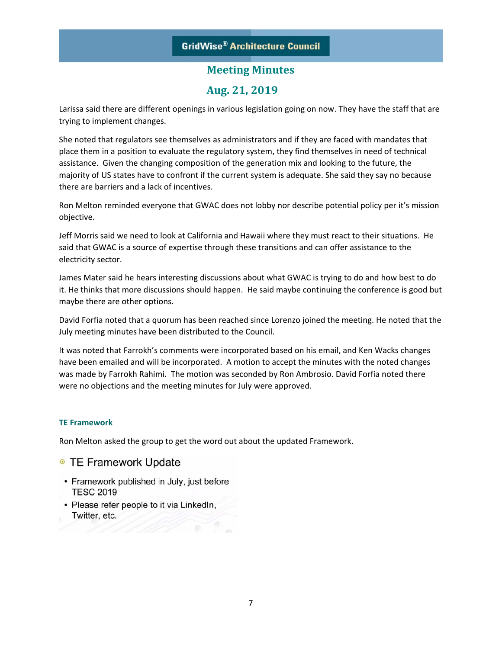### **Aug. 21, 2019**

Larissa said there are different openings in various legislation going on now. They have the staff that are trying to implement changes.

She noted that regulators see themselves as administrators and if they are faced with mandates that place them in a position to evaluate the regulatory system, they find themselves in need of technical assistance. Given the changing composition of the generation mix and looking to the future, the majority of US states have to confront if the current system is adequate. She said they say no because there are barriers and a lack of incentives.

Ron Melton reminded everyone that GWAC does not lobby nor describe potential policy per it's mission objective.

Jeff Morris said we need to look at California and Hawaii where they must react to their situations. He said that GWAC is a source of expertise through these transitions and can offer assistance to the electricity sector.

James Mater said he hears interesting discussions about what GWAC is trying to do and how best to do it. He thinks that more discussions should happen. He said maybe continuing the conference is good but maybe there are other options.

David Forfia noted that a quorum has been reached since Lorenzo joined the meeting. He noted that the July meeting minutes have been distributed to the Council.

It was noted that Farrokh's comments were incorporated based on his email, and Ken Wacks changes have been emailed and will be incorporated. A motion to accept the minutes with the noted changes was made by Farrokh Rahimi. The motion was seconded by Ron Ambrosio. David Forfia noted there were no objections and the meeting minutes for July were approved.

### **TE Framework**

Ron Melton asked the group to get the word out about the updated Framework.

- TE Framework Update
- Framework published in July, just before **TESC 2019**
- · Please refer people to it via LinkedIn, Twitter, etc.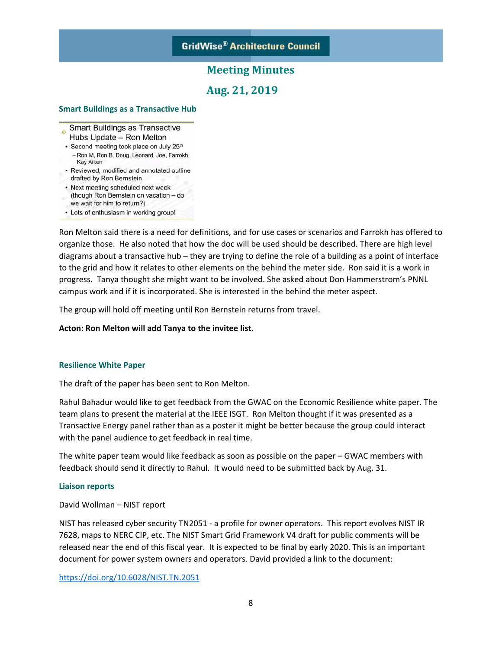### **Aug. 21, 2019**

### **Smart Buildings as a Transactive Hub**

- Smart Buildings as Transactive Hubs Update - Ron Melton
- Second meeting took place on July 25th - Ron M, Ron B, Doug, Leonard, Joe, Farrokh, Kay Aiken
- Reviewed, modified and annotated outline drafted by Ron Bernstein
- Next meeting scheduled next week (though Ron Bernstein on vacation - do we wait for him to return?)
- Lots of enthusiasm in working group!

Ron Melton said there is a need for definitions, and for use cases or scenarios and Farrokh has offered to organize those. He also noted that how the doc will be used should be described. There are high level diagrams about a transactive hub – they are trying to define the role of a building as a point of interface to the grid and how it relates to other elements on the behind the meter side. Ron said it is a work in progress. Tanya thought she might want to be involved. She asked about Don Hammerstrom's PNNL campus work and if it is incorporated. She is interested in the behind the meter aspect.

The group will hold off meeting until Ron Bernstein returns from travel.

#### **Acton: Ron Melton will add Tanya to the invitee list.**

#### **Resilience White Paper**

The draft of the paper has been sent to Ron Melton.

Rahul Bahadur would like to get feedback from the GWAC on the Economic Resilience white paper. The team plans to present the material at the IEEE ISGT. Ron Melton thought if it was presented as a Transactive Energy panel rather than as a poster it might be better because the group could interact with the panel audience to get feedback in real time.

The white paper team would like feedback as soon as possible on the paper – GWAC members with feedback should send it directly to Rahul. It would need to be submitted back by Aug. 31.

#### **Liaison reports**

#### David Wollman – NIST report

NIST has released cyber security TN2051 ‐ a profile for owner operators. This report evolves NIST IR 7628, maps to NERC CIP, etc. The NIST Smart Grid Framework V4 draft for public comments will be released near the end of this fiscal year. It is expected to be final by early 2020. This is an important document for power system owners and operators. David provided a link to the document:

https://doi.org/10.6028/NIST.TN.2051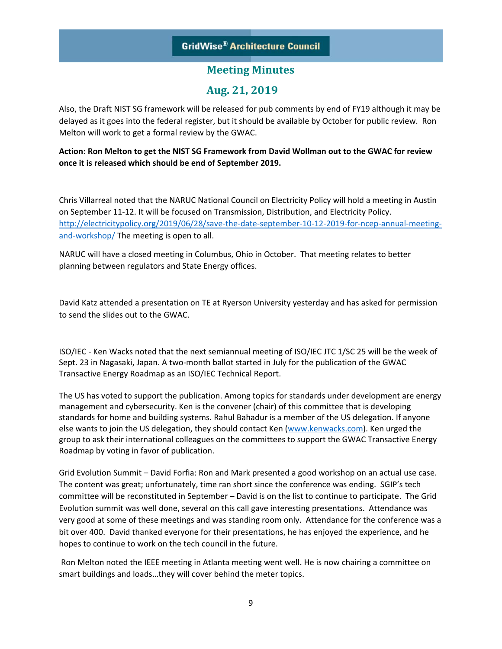### **GridWise® Architecture Council**

### **Meeting Minutes**

### **Aug. 21, 2019**

Also, the Draft NIST SG framework will be released for pub comments by end of FY19 although it may be delayed as it goes into the federal register, but it should be available by October for public review. Ron Melton will work to get a formal review by the GWAC.

### **Action: Ron Melton to get the NIST SG Framework from David Wollman out to the GWAC for review once it is released which should be end of September 2019.**

Chris Villarreal noted that the NARUC National Council on Electricity Policy will hold a meeting in Austin on September 11‐12. It will be focused on Transmission, Distribution, and Electricity Policy. http://electricitypolicy.org/2019/06/28/save-the-date-september-10-12-2019-for-ncep-annual-meetingand‐workshop/ The meeting is open to all.

NARUC will have a closed meeting in Columbus, Ohio in October. That meeting relates to better planning between regulators and State Energy offices.

David Katz attended a presentation on TE at Ryerson University yesterday and has asked for permission to send the slides out to the GWAC.

ISO/IEC ‐ Ken Wacks noted that the next semiannual meeting of ISO/IEC JTC 1/SC 25 will be the week of Sept. 23 in Nagasaki, Japan. A two-month ballot started in July for the publication of the GWAC Transactive Energy Roadmap as an ISO/IEC Technical Report.

The US has voted to support the publication. Among topics for standards under development are energy management and cybersecurity. Ken is the convener (chair) of this committee that is developing standards for home and building systems. Rahul Bahadur is a member of the US delegation. If anyone else wants to join the US delegation, they should contact Ken (www.kenwacks.com). Ken urged the group to ask their international colleagues on the committees to support the GWAC Transactive Energy Roadmap by voting in favor of publication.

Grid Evolution Summit – David Forfia: Ron and Mark presented a good workshop on an actual use case. The content was great; unfortunately, time ran short since the conference was ending. SGIP's tech committee will be reconstituted in September – David is on the list to continue to participate. The Grid Evolution summit was well done, several on this call gave interesting presentations. Attendance was very good at some of these meetings and was standing room only. Attendance for the conference was a bit over 400. David thanked everyone for their presentations, he has enjoyed the experience, and he hopes to continue to work on the tech council in the future.

 Ron Melton noted the IEEE meeting in Atlanta meeting went well. He is now chairing a committee on smart buildings and loads…they will cover behind the meter topics.